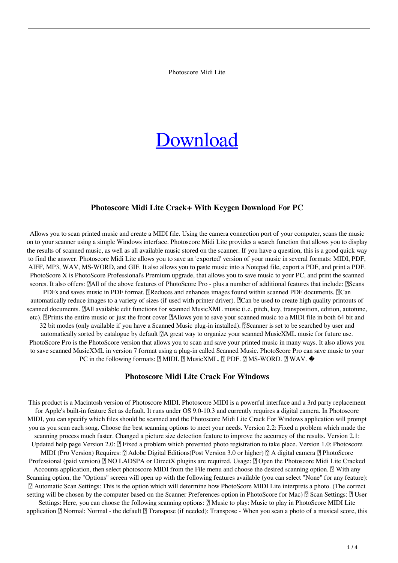Photoscore Midi Lite

# **[Download](http://evacdir.com/ZG93bmxvYWR8ZXIzWlRoemZId3hOalUyTURJeE1qQTJmSHd5TlRrd2ZId29UU2tnVjI5eVpIQnlaWE56SUZ0WVRVeFNVRU1nVmpJZ1VFUkdYUQ/shabbath/capri.outpace?&derma=grotte&UGhvdG9zY29yZSBNaWRpIExpdGUUGh=sattahip)**

#### **Photoscore Midi Lite Crack+ With Keygen Download For PC**

Allows you to scan printed music and create a MIDI file. Using the camera connection port of your computer, scans the music on to your scanner using a simple Windows interface. Photoscore Midi Lite provides a search function that allows you to display the results of scanned music, as well as all available music stored on the scanner. If you have a question, this is a good quick way to find the answer. Photoscore Midi Lite allows you to save an 'exported' version of your music in several formats: MIDI, PDF, AIFF, MP3, WAV, MS-WORD, and GIF. It also allows you to paste music into a Notepad file, export a PDF, and print a PDF. PhotoScore X is PhotoScore Professional's Premium upgrade, that allows you to save music to your PC, and print the scanned scores. It also offers: [All of the above features of PhotoScore Pro - plus a number of additional features that include: [2]Scans PDFs and saves music in PDF format. *Reduces* and enhances images found within scanned PDF documents. *Reduces* automatically reduce images to a variety of sizes (if used with printer driver). **Notat** be used to create high quality printouts of scanned documents. **All available edit functions for scanned MusicXML music (i.e. pitch, key, transposition, edition, autotune,** etc). **Prints the entire music or just the front cover PAIIows you to save your scanned music to a MIDI file in both 64 bit and** 32 bit modes (only available if you have a Scanned Music plug-in installed). **N**Scanner is set to be searched by user and automatically sorted by catalogue by default **A** great way to organize your scanned MusicXML music for future use. PhotoScore Pro is the PhotoScore version that allows you to scan and save your printed music in many ways. It also allows you to save scanned MusicXML in version 7 format using a plug-in called Scanned Music. PhotoScore Pro can save music to your PC in the following formats: [ MIDI. [ MusicXML. [ PDF. [ MS-WORD. [ WAV. ♦

#### **Photoscore Midi Lite Crack For Windows**

This product is a Macintosh version of Photoscore MIDI. Photoscore MIDI is a powerful interface and a 3rd party replacement for Apple's built-in feature Set as default. It runs under OS 9.0-10.3 and currently requires a digital camera. In Photoscore MIDI, you can specify which files should be scanned and the Photoscore Midi Lite Crack For Windows application will prompt you as you scan each song. Choose the best scanning options to meet your needs. Version 2.2: Fixed a problem which made the scanning process much faster. Changed a picture size detection feature to improve the accuracy of the results. Version 2.1: Updated help page Version 2.0:  $\Omega$  Fixed a problem which prevented photo registration to take place. Version 1.0: Photoscore MIDI (Pro Version) Requires: [2] Adobe Digital Editions(Post Version 3.0 or higher) [2] A digital camera [2] PhotoScore Professional (paid version) <sup>™</sup> NO LADSPA or DirectX plugins are required. Usage: ™ Open the Photoscore Midi Lite Cracked Accounts application, then select photoscore MIDI from the File menu and choose the desired scanning option.  $\mathbb{N}$  With any Scanning option, the "Options" screen will open up with the following features available (you can select "None" for any feature): ■ Automatic Scan Settings: This is the option which will determine how PhotoScore MIDI Lite interprets a photo. (The correct setting will be chosen by the computer based on the Scanner Preferences option in PhotoScore for Mac)  $\lbrack \rbrack$  Scan Settings:  $\lbrack \rbrack$  User Settings: Here, you can choose the following scanning options:  $\mathbb{Z}$  Music to play: Music to play in PhotoScore MIDI Lite

application  $\mathbb{Z}$  Normal: Normal - the default  $\mathbb{Z}$  Transpose (if needed): Transpose - When you scan a photo of a musical score, this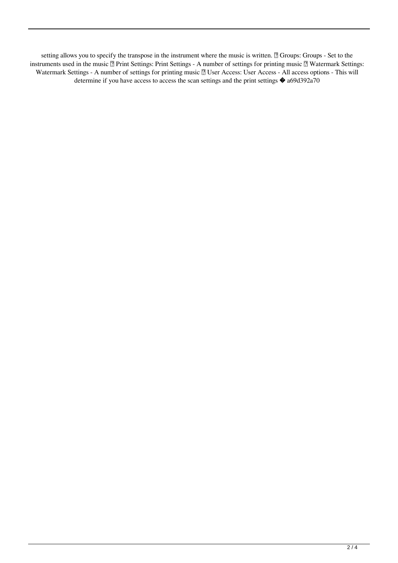setting allows you to specify the transpose in the instrument where the music is written. <sup>2</sup> Groups: Groups - Set to the instruments used in the music Print Settings: Print Settings - A number of settings for printing music Watermark Settings: Watermark Settings - A number of settings for printing music all User Access: User Access - All access options - This will determine if you have access to access the scan settings and the print settings  $\bullet$  a69d392a70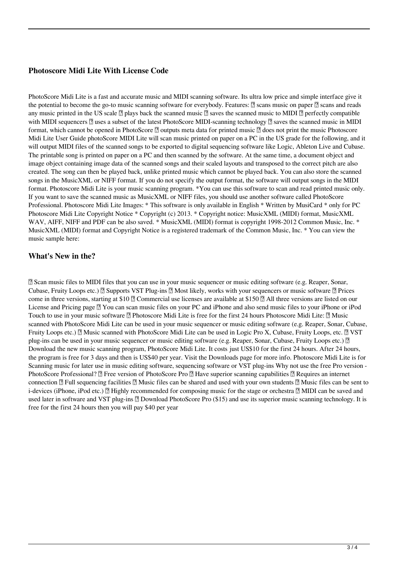## **Photoscore Midi Lite With License Code**

PhotoScore Midi Lite is a fast and accurate music and MIDI scanning software. Its ultra low price and simple interface give it the potential to become the go-to music scanning software for everybody. Features:  $\eta$  scans music on paper  $\eta$  scans and reads any music printed in the US scale  $\mathbb{Z}$  plays back the scanned music  $\mathbb{Z}$  saves the scanned music to MIDI  $\mathbb{Z}$  perfectly compatible with MIDI sequencers  $\bar{?}$  uses a subset of the latest PhotoScore MIDI-scanning technology  $\bar{?}$  saves the scanned music in MIDI format, which cannot be opened in PhotoScore  $\mathbb{Z}$  outputs meta data for printed music  $\mathbb{Z}$  does not print the music Photoscore Midi Lite User Guide photoScore MIDI Lite will scan music printed on paper on a PC in the US grade for the following, and it will output MIDI files of the scanned songs to be exported to digital sequencing software like Logic, Ableton Live and Cubase. The printable song is printed on paper on a PC and then scanned by the software. At the same time, a document object and image object containing image data of the scanned songs and their scaled layouts and transposed to the correct pitch are also created. The song can then be played back, unlike printed music which cannot be played back. You can also store the scanned songs in the MusicXML or NIFF format. If you do not specify the output format, the software will output songs in the MIDI format. Photoscore Midi Lite is your music scanning program. \*You can use this software to scan and read printed music only. If you want to save the scanned music as MusicXML or NIFF files, you should use another software called PhotoScore Professional. Photoscore Midi Lite Images: \* This software is only available in English \* Written by MusiCard \* only for PC Photoscore Midi Lite Copyright Notice \* Copyright (c) 2013. \* Copyright notice: MusicXML (MIDI) format, MusicXML WAV, AIFF, NIFF and PDF can be also saved. \* MusicXML (MIDI) format is copyright 1998-2012 Common Music, Inc. \* MusicXML (MIDI) format and Copyright Notice is a registered trademark of the Common Music, Inc. \* You can view the music sample here:

#### **What's New in the?**

■ Scan music files to MIDI files that you can use in your music sequencer or music editing software (e.g. Reaper, Sonar, Cubase, Fruity Loops etc.)  $\eta$  Supports VST Plug-ins  $\eta$  Most likely, works with your sequencers or music software  $\eta$  Prices come in three versions, starting at \$10  $\degree$  Commercial use licenses are available at \$150  $\degree$  All three versions are listed on our License and Pricing page ■ You can scan music files on your PC and iPhone and also send music files to your iPhone or iPod Touch to use in your music software Photoscore Midi Lite is free for the first 24 hours Photoscore Midi Lite: Music scanned with PhotoScore Midi Lite can be used in your music sequencer or music editing software (e.g. Reaper, Sonar, Cubase, Fruity Loops etc.)  $[$  Music scanned with PhotoScore Midi Lite can be used in Logic Pro X, Cubase, Fruity Loops, etc.  $[$  VST plug-ins can be used in your music sequencer or music editing software (e.g. Reaper, Sonar, Cubase, Fruity Loops etc.) <sup>[7]</sup> Download the new music scanning program, PhotoScore Midi Lite. It costs just US\$10 for the first 24 hours. After 24 hours, the program is free for 3 days and then is US\$40 per year. Visit the Downloads page for more info. Photoscore Midi Lite is for Scanning music for later use in music editing software, sequencing software or VST plug-ins Why not use the free Pro version - PhotoScore Professional? *a* Free version of PhotoScore Pro *a* Have superior scanning capabilities *a* Requires an internet connection  $\mathbb{Z}$  Full sequencing facilities  $\mathbb{Z}$  Music files can be shared and used with your own students  $\mathbb{Z}$  Music files can be sent to i-devices (iPhone, iPod etc.)  $\mathbb{Z}$  Highly recommended for composing music for the stage or orchestra  $\mathbb{Z}$  MIDI can be saved and used later in software and VST plug-ins <sup>[2]</sup> Download PhotoScore Pro (\$15) and use its superior music scanning technology. It is free for the first 24 hours then you will pay \$40 per year